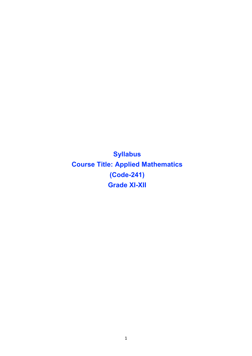Syllabus Course Title: Applied Mathematics (Code-241) Grade XI-XII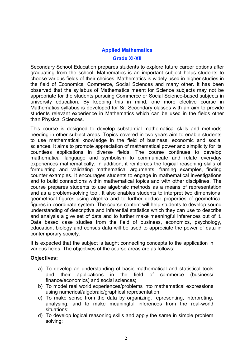## Applied Mathematics

#### Grade XI-XII

Secondary School Education prepares students to explore future career options after graduating from the school. Mathematics is an important subject helps students to choose various fields of their choices. Mathematics is widely used in higher studies in the field of Economics, Commerce, Social Sciences and many other. It has been observed that the syllabus of Mathematics meant for Science subjects may not be appropriate for the students pursuing Commerce or Social Science-based subjects in university education. By keeping this in mind, one more elective course in Mathematics syllabus is developed for Sr. Secondary classes with an aim to provide students relevant experience in Mathematics which can be used in the fields other than Physical Sciences.

This course is designed to develop substantial mathematical skills and methods needing in other subject areas. Topics covered in two years aim to enable students to use mathematical knowledge in the field of business, economic and social sciences. It aims to promote appreciation of mathematical power and simplicity for its countless applications in diverse fields. The course continues to develop mathematical language and symbolism to communicate and relate everyday experiences mathematically. In addition, it reinforces the logical reasoning skills of formulating and validating mathematical arguments, framing examples, finding counter examples. It encourages students to engage in mathematical investigations and to build connections within mathematical topics and with other disciplines. The course prepares students to use algebraic methods as a means of representation and as a problem-solving tool. It also enables students to interpret two dimensional geometrical figures using algebra and to further deduce properties of geometrical figures in coordinate system. The course content will help students to develop sound understanding of descriptive and inferential statistics which they can use to describe and analysis a give set of data and to further make meaningful inferences out of it. Data based case studies from the field of business, economics, psychology, education, biology and census data will be used to appreciate the power of data in contemporary society.

It is expected that the subject is taught connecting concepts to the application in various fields. The objectives of the course areas are as follows:

#### Objectives:

- a) To develop an understanding of basic mathematical and statistical tools and their applications in the field of commerce (business/ finance/economics) and social sciences;
- b) To model real world experiences/problems into mathematical expressions using numerical/algebraic/graphical representation;
- c) To make sense from the data by organizing, representing, interpreting, analysing, and to make meaningful inferences from the real-world situations;
- d) To develop logical reasoning skills and apply the same in simple problem solving;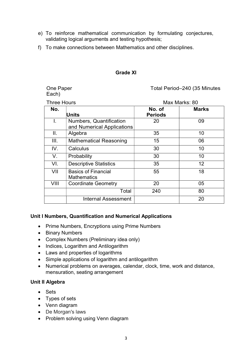- e) To reinforce mathematical communication by formulating conjectures, validating logical arguments and testing hypothesis;
- f) To make connections between Mathematics and other disciplines.

#### Grade XI

Each)

## One Paper Total Period–240 (35 Minutes

| <b>Three Hours</b> |                                                       | Max Marks: 80            |              |
|--------------------|-------------------------------------------------------|--------------------------|--------------|
| No.                | <b>Units</b>                                          | No. of<br><b>Periods</b> | <b>Marks</b> |
| I.                 | Numbers, Quantification<br>and Numerical Applications | 20                       | 09           |
| II.                | Algebra                                               | 35                       | 10           |
| III.               | <b>Mathematical Reasoning</b>                         | 15                       | 06           |
| IV.                | Calculus                                              | 30                       | 10           |
| V.                 | Probability                                           | 30                       | 10           |
| VI.                | <b>Descriptive Statistics</b>                         | 35                       | 12           |
| VII                | <b>Basics of Financial</b><br><b>Mathematics</b>      | 55                       | 18           |
| VIII               | <b>Coordinate Geometry</b>                            | 20                       | 05           |
|                    | Total                                                 | 240                      | 80           |
|                    | <b>Internal Assessment</b>                            |                          | 20           |

## Unit I Numbers, Quantification and Numerical Applications

- Prime Numbers, Encryptions using Prime Numbers
- Binary Numbers
- Complex Numbers (Preliminary idea only)
- Indices, Logarithm and Antilogarithm
- Laws and properties of logarithms
- Simple applications of logarithm and antilogarithm
- Numerical problems on averages, calendar, clock, time, work and distance, mensuration, seating arrangement

#### Unit II Algebra

- Sets
- Types of sets
- Venn diagram
- De Morgan's laws
- Problem solving using Venn diagram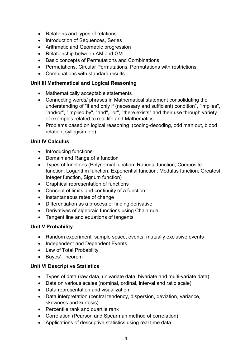- Relations and types of relations
- Introduction of Sequences, Series
- Arithmetic and Geometric progression
- Relationship between AM and GM
- Basic concepts of Permutations and Combinations
- Permutations, Circular Permutations, Permutations with restrictions
- Combinations with standard results

## Unit III Mathematical and Logical Reasoning

- Mathematically acceptable statements
- Connecting words/ phrases in Mathematical statement consolidating the understanding of "if and only if (necessary and sufficient) condition", "implies", "and/or", "implied by", "and", "or", "there exists" and their use through variety of examples related to real life and Mathematics
- Problems based on logical reasoning (coding-decoding, odd man out, blood relation, syllogism etc)

## Unit IV Calculus

- Introducing functions
- Domain and Range of a function
- Types of functions (Polynomial function; Rational function; Composite function; Logarithm function; Exponential function; Modulus function; Greatest Integer function, Signum function)
- Graphical representation of functions
- Concept of limits and continuity of a function
- Instantaneous rates of change
- Differentiation as a process of finding derivative
- Derivatives of algebraic functions using Chain rule
- Tangent line and equations of tangents

## Unit V Probability

- Random experiment, sample space, events, mutually exclusive events
- Independent and Dependent Events
- Law of Total Probability
- Baves' Theorem

## Unit VI Descriptive Statistics

- Types of data (raw data, univariate data, bivariate and multi-variate data)
- Data on various scales (nominal, ordinal, interval and ratio scale)
- Data representation and visualization
- Data interpretation (central tendency, dispersion, deviation, variance, skewness and kurtosis)
- Percentile rank and quartile rank
- Correlation (Pearson and Spearman method of correlation)
- Applications of descriptive statistics using real time data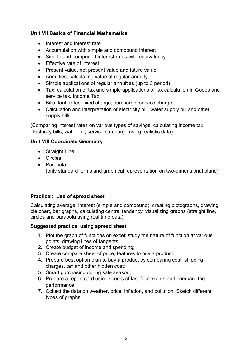# Unit VII Basics of Financial Mathematics

- Interest and interest rate
- Accumulation with simple and compound interest
- Simple and compound interest rates with equivalency
- Fffective rate of interest
- Present value, net present value and future value
- Annuities, calculating value of regular annuity
- Simple applications of regular annuities (up to 3 period)
- Tax, calculation of tax and simple applications of tax calculation in Goods and service tax, Income Tax
- Bills, tariff rates, fixed charge, surcharge, service charge
- Calculation and interpretation of electricity bill, water supply bill and other supply bills

(Comparing interest rates on various types of savings; calculating income tax; electricity bills, water bill; service surcharge using realistic data)

## Unit VIII Coordinate Geometry

- Straight Line
- Circles
- Parabola

(only standard forms and graphical representation on two-dimensional plane)

## Practical: Use of spread sheet

Calculating average, interest (simple and compound), creating pictographs, drawing pie chart, bar graphs, calculating central tendency; visualizing graphs (straight line, circles and parabola using real time data)

## Suggested practical using spread sheet

- 1. Plot the graph of functions on excel; study the nature of function at various points, drawing lines of tangents;
- 2. Create budget of income and spending;
- 3. Create compare sheet of price, features to buy a product;
- 4. Prepare best option plan to buy a product by comparing cost, shipping charges, tax and other hidden cost;
- 5. Smart purchasing during sale season;
- 6. Prepare a report card using scores of last four exams and compare the performance;
- 7. Collect the data on weather, price, inflation, and pollution. Sketch different types of graphs.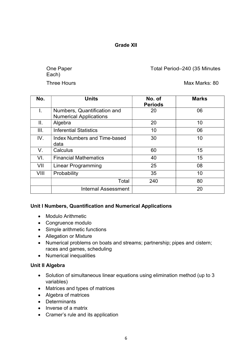Grade XII

Each)

One Paper Total Period–240 (35 Minutes

Three Hours **Max Marks: 80** 

| No.  | <b>Units</b>                                                 | No. of<br><b>Periods</b> | <b>Marks</b> |
|------|--------------------------------------------------------------|--------------------------|--------------|
| Τ.   | Numbers, Quantification and<br><b>Numerical Applications</b> | 20                       | 06           |
| ΙΙ.  | Algebra                                                      | 20                       | 10           |
| III. | <b>Inferential Statistics</b>                                | 10                       | 06           |
| IV.  | Index Numbers and Time-based<br>data                         | 30                       | 10           |
| V.   | Calculus                                                     | 60                       | 15           |
| VI.  | <b>Financial Mathematics</b>                                 | 40                       | 15           |
| VII  | <b>Linear Programming</b>                                    | 25                       | 08           |
| VIII | Probability                                                  | 35                       | 10           |
|      | Total                                                        | 240                      | 80           |
|      | Internal Assessment                                          |                          | 20           |

## Unit I Numbers, Quantification and Numerical Applications

- Modulo Arithmetic
- Congruence modulo
- Simple arithmetic functions
- Allegation or Mixture
- Numerical problems on boats and streams; partnership; pipes and cistern; races and games, scheduling
- Numerical inequalities

# Unit II Algebra

- Solution of simultaneous linear equations using elimination method (up to 3 variables)
- Matrices and types of matrices
- Algebra of matrices
- Determinants
- Inverse of a matrix
- Cramer's rule and its application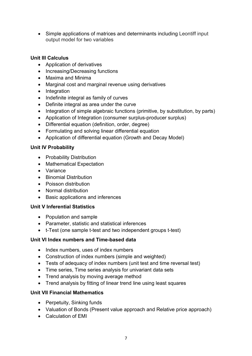Simple applications of matrices and determinants including Leontiff input output model for two variables

## Unit III Calculus

- Application of derivatives
- Increasing/Decreasing functions
- Maxima and Minima
- Marginal cost and marginal revenue using derivatives
- Integration
- Indefinite integral as family of curves
- Definite integral as area under the curve
- Integration of simple algebraic functions (primitive, by substitution, by parts)
- Application of Integration (consumer surplus-producer surplus)
- Differential equation (definition, order, degree)
- Formulating and solving linear differential equation
- Application of differential equation (Growth and Decay Model)

## Unit IV Probability

- Probability Distribution
- Mathematical Expectation
- Variance
- Binomial Distribution
- Poisson distribution
- Normal distribution
- Basic applications and inferences

## Unit V Inferential Statistics

- Population and sample
- Parameter, statistic and statistical inferences
- t-Test (one sample t-test and two independent groups t-test)

## Unit VI Index numbers and Time-based data

- Index numbers, uses of index numbers
- Construction of index numbers (simple and weighted)
- Tests of adequacy of index numbers (unit test and time reversal test)
- Time series, Time series analysis for univariant data sets
- Trend analysis by moving average method
- Trend analysis by fitting of linear trend line using least squares

# Unit VII Financial Mathematics

- Perpetuity, Sinking funds
- Valuation of Bonds (Present value approach and Relative price approach)
- Calculation of EMI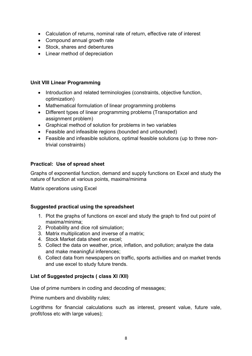- Calculation of returns, nominal rate of return, effective rate of interest
- Compound annual growth rate
- Stock, shares and debentures
- Linear method of depreciation

## Unit VIII Linear Programming

- Introduction and related terminologies (constraints, objective function, optimization)
- Mathematical formulation of linear programming problems
- Different types of linear programming problems (Transportation and assignment problem)
- Graphical method of solution for problems in two variables
- Feasible and infeasible regions (bounded and unbounded)
- Feasible and infeasible solutions, optimal feasible solutions (up to three nontrivial constraints)

## Practical: Use of spread sheet

Graphs of exponential function, demand and supply functions on Excel and study the nature of function at various points, maxima/minima

Matrix operations using Excel

## Suggested practical using the spreadsheet

- 1. Plot the graphs of functions on excel and study the graph to find out point of maxima/minima;
- 2. Probability and dice roll simulation;
- 3. Matrix multiplication and inverse of a matrix;
- 4. Stock Market data sheet on excel;
- 5. Collect the data on weather, price, inflation, and pollution; analyze the data and make meaningful inferences;
- 6. Collect data from newspapers on traffic, sports activities and on market trends and use excel to study future trends.

## List of Suggested projects ( class XI /XII)

Use of prime numbers in coding and decoding of messages;

Prime numbers and divisbility rules;

Logrithms for financial calculations such as interest, present value, future vale, profit/loss etc with large values);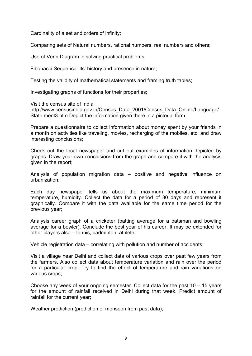Cardinality of a set and orders of infinity;

Comparing sets of Natural numbers, rational numbers, real numbers and others;

Use of Venn Diagram in solving practical problems;

Fibonacci Sequence: Its' history and presence in nature;

Testing the validity of mathematical statements and framing truth tables;

Investigating graphs of functions for their properties;

Visit the census site of India

http://www.censusindia.gov.in/Census\_Data\_2001/Census\_Data\_Online/Language/ State ment3.htm Depict the information given there in a pictorial form;

Prepare a questionnaire to collect information about money spent by your friends in a month on activities like traveling, movies, recharging of the mobiles, etc. and draw interesting conclusions;

Check out the local newspaper and cut out examples of information depicted by graphs. Draw your own conclusions from the graph and compare it with the analysis given in the report;

Analysis of population migration data – positive and negative influence on urbanization;

Each day newspaper tells us about the maximum temperature, minimum temperature, humidity. Collect the data for a period of 30 days and represent it graphically. Compare it with the data available for the same time period for the previous year;

Analysis career graph of a cricketer (batting average for a batsman and bowling average for a bowler). Conclude the best year of his career. It may be extended for other players also – tennis, badminton, athlete;

Vehicle registration data – correlating with pollution and number of accidents;

Visit a village near Delhi and collect data of various crops over past few years from the farmers. Also collect data about temperature variation and rain over the period for a particular crop. Try to find the effect of temperature and rain variations on various crops;

Choose any week of your ongoing semester. Collect data for the past 10 – 15 years for the amount of rainfall received in Delhi during that week. Predict amount of rainfall for the current year;

Weather prediction (prediction of monsoon from past data);